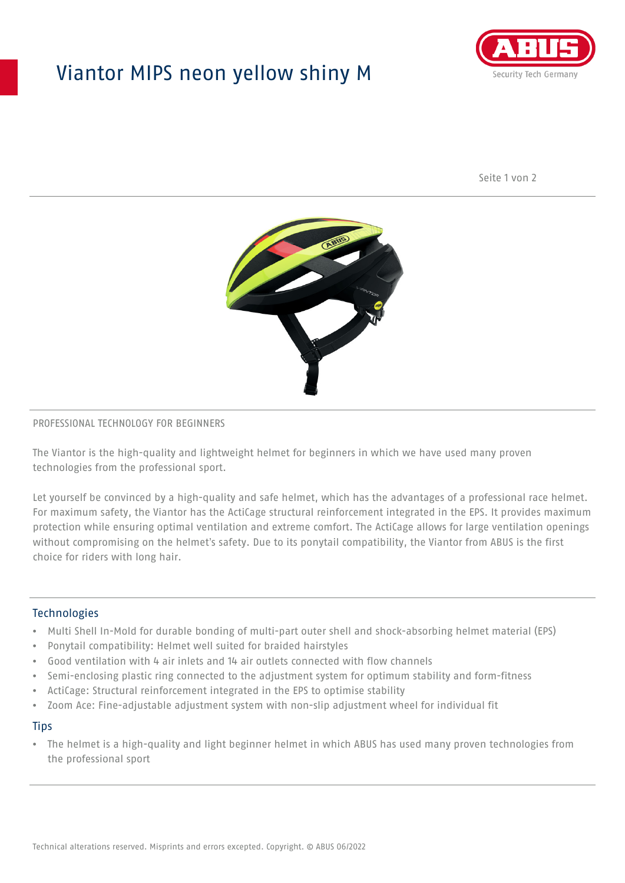## Viantor MIPS neon yellow shiny M



Seite 1 von 2



#### PROFESSIONAL TECHNOLOGY FOR BEGINNERS

The Viantor is the high-quality and lightweight helmet for beginners in which we have used many proven technologies from the professional sport.

Let yourself be convinced by a high-quality and safe helmet, which has the advantages of a professional race helmet. For maximum safety, the Viantor has the ActiCage structural reinforcement integrated in the EPS. It provides maximum protection while ensuring optimal ventilation and extreme comfort. The ActiCage allows for large ventilation openings without compromising on the helmet's safety. Due to its ponytail compatibility, the Viantor from ABUS is the first choice for riders with long hair.

#### **Technologies**

- Multi Shell In-Mold for durable bonding of multi-part outer shell and shock-absorbing helmet material (EPS)
- Ponytail compatibility: Helmet well suited for braided hairstyles
- Good ventilation with 4 air inlets and 14 air outlets connected with flow channels
- Semi-enclosing plastic ring connected to the adjustment system for optimum stability and form-fitness
- ActiCage: Structural reinforcement integrated in the EPS to optimise stability
- Zoom Ace: Fine-adjustable adjustment system with non-slip adjustment wheel for individual fit

#### **Tips**

• The helmet is a high-quality and light beginner helmet in which ABUS has used many proven technologies from the professional sport